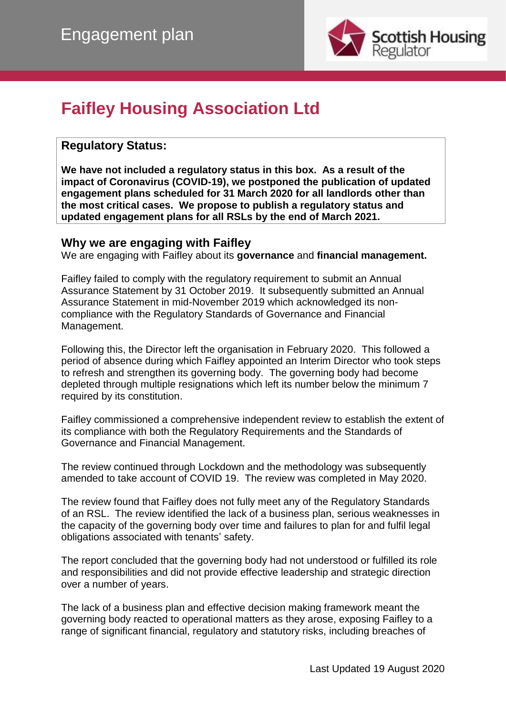

# **Faifley Housing Association Ltd**

## **Regulatory Status:**

**We have not included a regulatory status in this box. As a result of the impact of Coronavirus (COVID-19), we postponed the publication of updated engagement plans scheduled for 31 March 2020 for all landlords other than the most critical cases. We propose to publish a regulatory status and updated engagement plans for all RSLs by the end of March 2021.**

#### **Why we are engaging with Faifley**

We are engaging with Faifley about its **governance** and **financial management.**

Faifley failed to comply with the regulatory requirement to submit an Annual Assurance Statement by 31 October 2019. It subsequently submitted an Annual Assurance Statement in mid-November 2019 which acknowledged its noncompliance with the Regulatory Standards of Governance and Financial Management.

Following this, the Director left the organisation in February 2020. This followed a period of absence during which Faifley appointed an Interim Director who took steps to refresh and strengthen its governing body. The governing body had become depleted through multiple resignations which left its number below the minimum 7 required by its constitution.

Faifley commissioned a comprehensive independent review to establish the extent of its compliance with both the Regulatory Requirements and the Standards of Governance and Financial Management.

The review continued through Lockdown and the methodology was subsequently amended to take account of COVID 19. The review was completed in May 2020.

The review found that Faifley does not fully meet any of the Regulatory Standards of an RSL. The review identified the lack of a business plan, serious weaknesses in the capacity of the governing body over time and failures to plan for and fulfil legal obligations associated with tenants' safety.

The report concluded that the governing body had not understood or fulfilled its role and responsibilities and did not provide effective leadership and strategic direction over a number of years.

The lack of a business plan and effective decision making framework meant the governing body reacted to operational matters as they arose, exposing Faifley to a range of significant financial, regulatory and statutory risks, including breaches of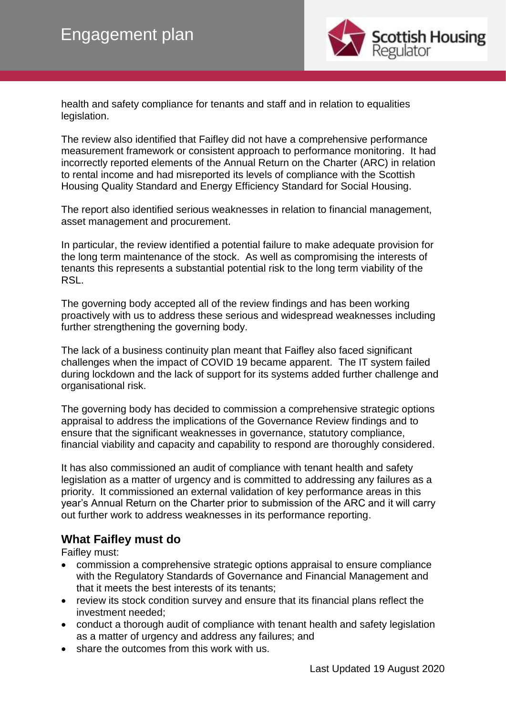

health and safety compliance for tenants and staff and in relation to equalities legislation.

The review also identified that Faifley did not have a comprehensive performance measurement framework or consistent approach to performance monitoring. It had incorrectly reported elements of the Annual Return on the Charter (ARC) in relation to rental income and had misreported its levels of compliance with the Scottish Housing Quality Standard and Energy Efficiency Standard for Social Housing.

The report also identified serious weaknesses in relation to financial management, asset management and procurement.

In particular, the review identified a potential failure to make adequate provision for the long term maintenance of the stock. As well as compromising the interests of tenants this represents a substantial potential risk to the long term viability of the RSL.

The governing body accepted all of the review findings and has been working proactively with us to address these serious and widespread weaknesses including further strengthening the governing body.

The lack of a business continuity plan meant that Faifley also faced significant challenges when the impact of COVID 19 became apparent. The IT system failed during lockdown and the lack of support for its systems added further challenge and organisational risk.

The governing body has decided to commission a comprehensive strategic options appraisal to address the implications of the Governance Review findings and to ensure that the significant weaknesses in governance, statutory compliance, financial viability and capacity and capability to respond are thoroughly considered.

It has also commissioned an audit of compliance with tenant health and safety legislation as a matter of urgency and is committed to addressing any failures as a priority. It commissioned an external validation of key performance areas in this year's Annual Return on the Charter prior to submission of the ARC and it will carry out further work to address weaknesses in its performance reporting.

### **What Faifley must do**

Faifley must:

- commission a comprehensive strategic options appraisal to ensure compliance with the Regulatory Standards of Governance and Financial Management and that it meets the best interests of its tenants;
- review its stock condition survey and ensure that its financial plans reflect the investment needed;
- conduct a thorough audit of compliance with tenant health and safety legislation as a matter of urgency and address any failures; and
- share the outcomes from this work with us.